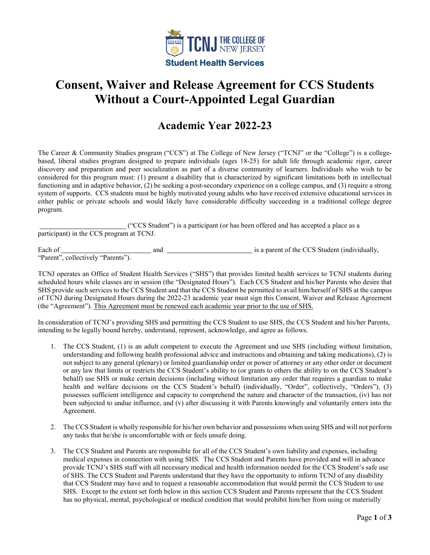

# **Consent, Waiver and Release Agreement for CCS Students Without a Court-Appointed Legal Guardian**

## **Academic Year 2022-23**

The Career & Community Studies program ("CCS") at The College of New Jersey ("TCNJ" or the "College") is a collegebased, liberal studies program designed to prepare individuals (ages 18-25) for adult life through academic rigor, career discovery and preparation and peer socialization as part of a diverse community of learners. Individuals who wish to be considered for this program must: (1) present a disability that is characterized by significant limitations both in intellectual functioning and in adaptive behavior, (2) be seeking a post-secondary experience on a college campus, and (3) require a strong system of supports. CCS students must be highly motivated young adults who have received extensive educational services in either public or private schools and would likely have considerable difficulty succeeding in a traditional college degree program.

**Example 2018** ("CCS Student") is a participant (or has been offered and has accepted a place as a participant) in the CCS program at TCNJ.

Each of and is a parent of the CCS Student (individually, "Parent", collectively "Parents").

TCNJ operates an Office of Student Health Services ("SHS") that provides limited health services to TCNJ students during scheduled hours while classes are in session (the "Designated Hours"). Each CCS Student and his/her Parents who desire that SHS provide such services to the CCS Student and that the CCS Student be permitted to avail him/herself of SHS at the campus of TCNJ during Designated Hours during the 2022-23 academic year must sign this Consent, Waiver and Release Agreement (the "Agreement"). This Agreement must be renewed each academic year prior to the use of SHS.

In consideration of TCNJ's providing SHS and permitting the CCS Student to use SHS, the CCS Student and his/her Parents, intending to be legally bound hereby, understand, represent, acknowledge, and agree as follows.

- 1. The CCS Student, (1) is an adult competent to execute the Agreement and use SHS (including without limitation, understanding and following health professional advice and instructions and obtaining and taking medications), (2) is not subject to any general (plenary) or limited guardianship order or power of attorney or any other order or document or any law that limits or restricts the CCS Student's ability to (or grants to others the ability to on the CCS Student's behalf) use SHS or make certain decisions (including without limitation any order that requires a guardian to make health and welfare decisions on the CCS Student's behalf) (individually, "Order", collectively, "Orders"), (3) possesses sufficient intelligence and capacity to comprehend the nature and character of the transaction, (iv) has not been subjected to undue influence, and (v) after discussing it with Parents knowingly and voluntarily enters into the Agreement.
- 2. The CCS Student is wholly responsible for his/her own behavior and possessions when using SHS and will not perform any tasks that he/she is uncomfortable with or feels unsafe doing.
- 3. The CCS Student and Parents are responsible for all of the CCS Student's own liability and expenses, including medical expenses in connection with using SHS. The CCS Student and Parents have provided and will in advance provide TCNJ's SHS staff with all necessary medical and health information needed for the CCS Student's safe use of SHS. The CCS Student and Parents understand that they have the opportunity to inform TCNJ of any disability that CCS Student may have and to request a reasonable accommodation that would permit the CCS Student to use SHS. Except to the extent set forth below in this section CCS Student and Parents represent that the CCS Student has no physical, mental, psychological or medical condition that would prohibit him/her from using or materially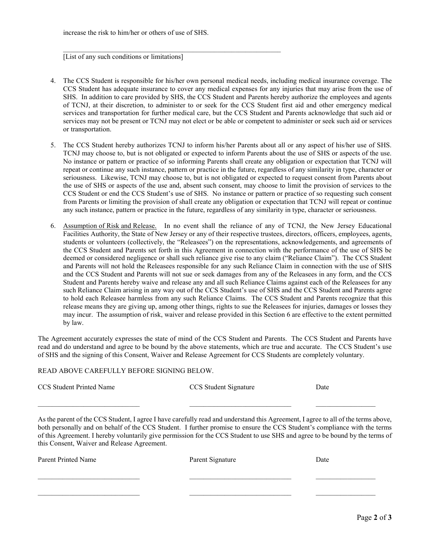$\_$  , and the set of the set of the set of the set of the set of the set of the set of the set of the set of the set of the set of the set of the set of the set of the set of the set of the set of the set of the set of th

[List of any such conditions or limitations]

- 4. The CCS Student is responsible for his/her own personal medical needs, including medical insurance coverage. The CCS Student has adequate insurance to cover any medical expenses for any injuries that may arise from the use of SHS. In addition to care provided by SHS, the CCS Student and Parents hereby authorize the employees and agents of TCNJ, at their discretion, to administer to or seek for the CCS Student first aid and other emergency medical services and transportation for further medical care, but the CCS Student and Parents acknowledge that such aid or services may not be present or TCNJ may not elect or be able or competent to administer or seek such aid or services or transportation.
- 5. The CCS Student hereby authorizes TCNJ to inform his/her Parents about all or any aspect of his/her use of SHS. TCNJ may choose to, but is not obligated or expected to inform Parents about the use of SHS or aspects of the use. No instance or pattern or practice of so informing Parents shall create any obligation or expectation that TCNJ will repeat or continue any such instance, pattern or practice in the future, regardless of any similarity in type, character or seriousness. Likewise, TCNJ may choose to, but is not obligated or expected to request consent from Parents about the use of SHS or aspects of the use and, absent such consent, may choose to limit the provision of services to the CCS Student or end the CCS Student's use of SHS. No instance or pattern or practice of so requesting such consent from Parents or limiting the provision of shall create any obligation or expectation that TCNJ will repeat or continue any such instance, pattern or practice in the future, regardless of any similarity in type, character or seriousness.
- 6. Assumption of Risk and Release. In no event shall the reliance of any of TCNJ, the New Jersey Educational Facilities Authority, the State of New Jersey or any of their respective trustees, directors, officers, employees, agents, students or volunteers (collectively, the "Releasees") on the representations, acknowledgements, and agreements of the CCS Student and Parents set forth in this Agreement in connection with the performance of the use of SHS be deemed or considered negligence or shall such reliance give rise to any claim ("Reliance Claim"). The CCS Student and Parents will not hold the Releasees responsible for any such Reliance Claim in connection with the use of SHS and the CCS Student and Parents will not sue or seek damages from any of the Releasees in any form, and the CCS Student and Parents hereby waive and release any and all such Reliance Claims against each of the Releasees for any such Reliance Claim arising in any way out of the CCS Student's use of SHS and the CCS Student and Parents agree to hold each Releasee harmless from any such Reliance Claims. The CCS Student and Parents recognize that this release means they are giving up, among other things, rights to sue the Releasees for injuries, damages or losses they may incur. The assumption of risk, waiver and release provided in this Section 6 are effective to the extent permitted by law.

The Agreement accurately expresses the state of mind of the CCS Student and Parents. The CCS Student and Parents have read and do understand and agree to be bound by the above statements, which are true and accurate. The CCS Student's use of SHS and the signing of this Consent, Waiver and Release Agreement for CCS Students are completely voluntary.

#### READ ABOVE CAREFULLY BEFORE SIGNING BELOW.

CCS Student Printed Name CCS Student Signature Date

As the parent of the CCS Student, I agree I have carefully read and understand this Agreement, I agree to all of the terms above, both personally and on behalf of the CCS Student. I further promise to ensure the CCS Student's compliance with the terms of this Agreement. I hereby voluntarily give permission for the CCS Student to use SHS and agree to be bound by the terms of this Consent, Waiver and Release Agreement.

\_\_\_\_\_\_\_\_\_\_\_\_\_\_\_\_\_\_\_\_\_\_\_\_\_\_\_\_\_ \_\_\_\_\_\_\_\_\_\_\_\_\_\_\_\_\_\_\_\_\_\_\_\_\_\_\_\_\_ \_\_\_\_\_\_\_\_\_\_\_\_\_\_\_\_\_

| Parent Printed Name | Parent Signature | Date |
|---------------------|------------------|------|
|                     |                  |      |
|                     |                  |      |